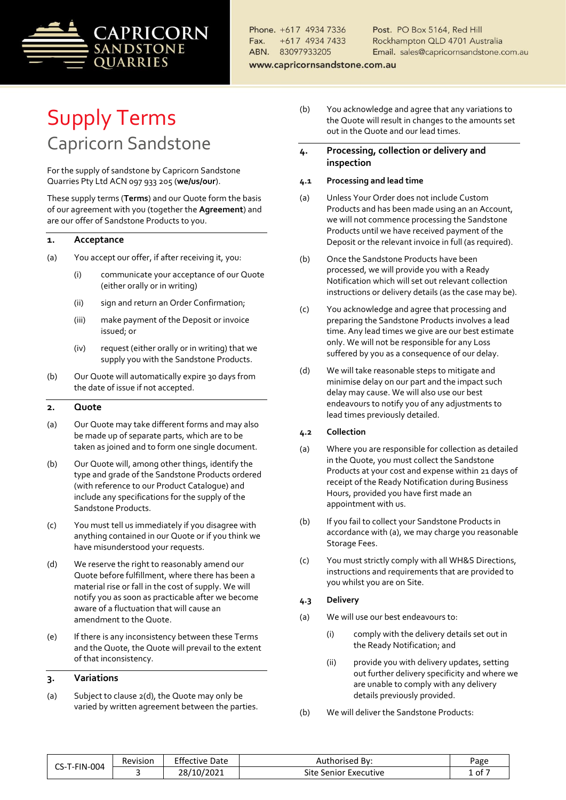

Post. PO Box 5164, Red Hill Rockhampton QLD 4701 Australia Email. sales@capricornsandstone.com.au

www.capricornsandstone.com.au

# Supply Terms Capricorn Sandstone

For the supply of sandstone by Capricorn Sandstone Quarries Pty Ltd ACN 097 933 205 (**we/us/our**).

These supply terms (**Terms**) and our Quote form the basis of our agreement with you (together the **Agreement**) and are our offer of Sandstone Products to you.

### <span id="page-0-3"></span>**1. Acceptance**

- (a) You accept our offer, if after receiving it, you:
	- (i) communicate your acceptance of our Quote (either orally or in writing)
	- (ii) sign and return an Order Confirmation;
	- (iii) make payment of the Deposit or invoice issued; or
	- (iv) request (either orally or in writing) that we supply you with the Sandstone Products.
- (b) Our Quote will automatically expire 30 days from the date of issue if not accepted.

#### **2. Quote**

- (a) Our Quote may take different forms and may also be made up of separate parts, which are to be taken as joined and to form one single document.
- (b) Our Quote will, among other things, identify the type and grade of the Sandstone Products ordered (with reference to our Product Catalogue) and include any specifications for the supply of the Sandstone Products.
- (c) You must tell us immediately if you disagree with anything contained in our Quote or if you think we have misunderstood your requests.
- (d) We reserve the right to reasonably amend our Quote before fulfillment, where there has been a material rise or fall in the cost of supply. We will notify you as soon as practicable after we become aware of a fluctuation that will cause an amendment to the Quote.
- (e) If there is any inconsistency between these Terms and the Quote, the Quote will prevail to the extent of that inconsistency.

#### **3. Variations**

<span id="page-0-4"></span>(a) Subject to clause 2(d), the Quote may only be varied by written agreement between the parties.

- (b) You acknowledge and agree that any variations to the Quote will result in changes to the amounts set out in the Quote and our lead times.
- <span id="page-0-5"></span>**4. Processing, collection or delivery and inspection**
- **4.1 Processing and lead time**
- (a) Unless Your Order does not include Custom Products and has been made using an an Account, we will not commence processing the Sandstone Products until we have received payment of the Deposit or the relevant invoice in full (as required).
- (b) Once the Sandstone Products have been processed, we will provide you with a Ready Notification which will set out relevant collection instructions or delivery details (as the case may be).
- (c) You acknowledge and agree that processing and preparing the Sandstone Products involves a lead time. Any lead times we give are our best estimate only. We will not be responsible for any Loss suffered by you as a consequence of our delay.
- (d) We will take reasonable steps to mitigate and minimise delay on our part and the impact such delay may cause. We will also use our best endeavours to notify you of any adjustments to lead times previously detailed.

#### **4.2 Collection**

- <span id="page-0-0"></span>(a) Where you are responsible for collection as detailed in the Quote, you must collect the Sandstone Products at your cost and expense within 21 days of receipt of the Ready Notification during Business Hours, provided you have first made an appointment with us.
- (b) If you fail to collect your Sandstone Products in accordance wit[h \(a\),](#page-0-0) we may charge you reasonable Storage Fees.
- (c) You must strictly comply with all WH&S Directions, instructions and requirements that are provided to you whilst you are on Site.

#### **4.3 Delivery**

- <span id="page-0-2"></span>(a) We will use our best endeavours to:
	- (i) comply with the delivery details set out in the Ready Notification; and
	- (ii) provide you with delivery updates, setting out further delivery specificity and where we are unable to comply with any delivery details previously provided.
- <span id="page-0-1"></span>(b) We will deliver the Sandstone Products:

| T-FIN-004<br>-د- | . .<br>Revision | Effective<br>Date | Bv:<br>:horised<br>Aut        | Page |
|------------------|-----------------|-------------------|-------------------------------|------|
|                  |                 | 10/2021           | Site<br>. Senior<br>Executive | ot   |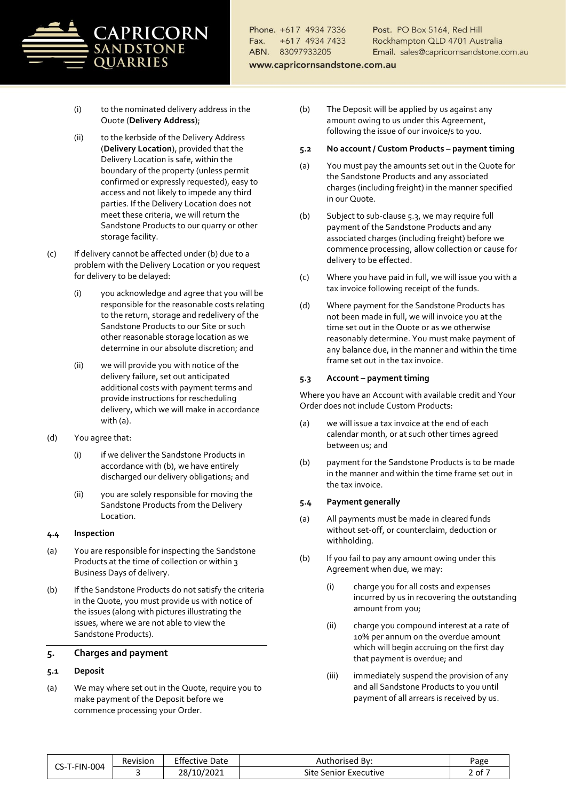

Post. PO Box 5164, Red Hill Rockhampton QLD 4701 Australia Email. sales@capricornsandstone.com.au

www.capricornsandstone.com.au

- (i) to the nominated delivery address in the Quote (**Delivery Address**);
- (ii) to the kerbside of the Delivery Address (**Delivery Location**), provided that the Delivery Location is safe, within the boundary of the property (unless permit confirmed or expressly requested), easy to access and not likely to impede any third parties. If the Delivery Location does not meet these criteria, we will return the Sandstone Products to our quarry or other storage facility.
- (c) If delivery cannot be affected under [\(b\)](#page-0-1) due to a problem with the Delivery Location or you request for delivery to be delayed:
	- (i) you acknowledge and agree that you will be responsible for the reasonable costs relating to the return, storage and redelivery of the Sandstone Products to our Site or such other reasonable storage location as we determine in our absolute discretion; and
	- (ii) we will provide you with notice of the delivery failure, set out anticipated additional costs with payment terms and provide instructions for rescheduling delivery, which we will make in accordance wit[h \(a\).](#page-0-2)
- (d) You agree that:
	- (i) if we deliver the Sandstone Products in accordance wit[h \(b\),](#page-0-1) we have entirely discharged our delivery obligations; and
	- (ii) you are solely responsible for moving the Sandstone Products from the Delivery Location.

### **4.4 Inspection**

- (a) You are responsible for inspecting the Sandstone Products at the time of collection or within 3 Business Days of delivery.
- (b) If the Sandstone Products do not satisfy the criteria in the Quote, you must provide us with notice of the issues (along with pictures illustrating the issues, where we are not able to view the Sandstone Products).

#### <span id="page-1-2"></span>**5. Charges and payment**

#### <span id="page-1-1"></span>**5.1 Deposit**

(a) We may where set out in the Quote, require you to make payment of the Deposit before we commence processing your Order.

- (b) The Deposit will be applied by us against any amount owing to us under this Agreement, following the issue of our invoice/s to you.
- **5.2 No account / Custom Products – payment timing**
- (a) You must pay the amounts set out in the Quote for the Sandstone Products and any associated charges (including freight) in the manner specified in our Quote.
- (b) Subject to sub-claus[e 5.3,](#page-1-0) we may require full payment of the Sandstone Products and any associated charges (including freight) before we commence processing, allow collection or cause for delivery to be effected.
- (c) Where you have paid in full, we will issue you with a tax invoice following receipt of the funds.
- (d) Where payment for the Sandstone Products has not been made in full, we will invoice you at the time set out in the Quote or as we otherwise reasonably determine. You must make payment of any balance due, in the manner and within the time frame set out in the tax invoice.

### <span id="page-1-0"></span>**5.3 Account – payment timing**

Where you have an Account with available credit and Your Order does not include Custom Products:

- (a) we will issue a tax invoice at the end of each calendar month, or at such other times agreed between us; and
- (b) payment for the Sandstone Products is to be made in the manner and within the time frame set out in the tax invoice.

#### **5.4 Payment generally**

- (a) All payments must be made in cleared funds without set-off, or counterclaim, deduction or withholding.
- (b) If you fail to pay any amount owing under this Agreement when due, we may:
	- (i) charge you for all costs and expenses incurred by us in recovering the outstanding amount from you;
	- (ii) charge you compound interest at a rate of 10% per annum on the overdue amount which will begin accruing on the first day that payment is overdue; and
	- (iii) immediately suspend the provision of any and all Sandstone Products to you until payment of all arrears is received by us.

| S-T-FIN-004<br>--<br>ب | Revision | Effective<br>Date         | Bv:<br>Authorised             | Page         |
|------------------------|----------|---------------------------|-------------------------------|--------------|
|                        |          | /2021<br>าถ<br>10/<br>∟0∠ | Site<br>senior '<br>Executive | -<br>ot<br>- |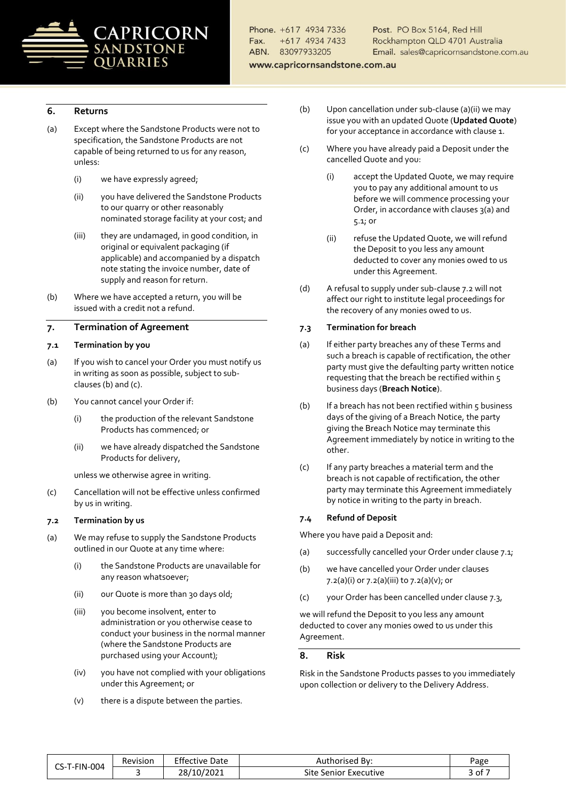

Post. PO Box 5164, Red Hill Rockhampton QLD 4701 Australia Email. sales@capricornsandstone.com.au

www.capricornsandstone.com.au

# <span id="page-2-9"></span>**6. Returns**

- (a) Except where the Sandstone Products were not to specification, the Sandstone Products are not capable of being returned to us for any reason, unless:
	- (i) we have expressly agreed;
	- (ii) you have delivered the Sandstone Products to our quarry or other reasonably nominated storage facility at your cost; and
	- (iii) they are undamaged, in good condition, in original or equivalent packaging (if applicable) and accompanied by a dispatch note stating the invoice number, date of supply and reason for return.
- (b) Where we have accepted a return, you will be issued with a credit not a refund.

# <span id="page-2-10"></span>**7. Termination of Agreement**

#### <span id="page-2-4"></span>**7.1 Termination by you**

- (a) If you wish to cancel your Order you must notify us in writing as soon as possible, subject to subclause[s \(b\)](#page-2-0) an[d \(c\).](#page-2-1)
- <span id="page-2-0"></span>(b) You cannot cancel your Order if:
	- (i) the production of the relevant Sandstone Products has commenced; or
	- (ii) we have already dispatched the Sandstone Products for delivery,

unless we otherwise agree in writing.

<span id="page-2-1"></span>(c) Cancellation will not be effective unless confirmed by us in writing.

#### <span id="page-2-3"></span>**7.2 Termination by us**

- <span id="page-2-6"></span><span id="page-2-5"></span><span id="page-2-2"></span>(a) We may refuse to supply the Sandstone Products outlined in our Quote at any time where:
	- (i) the Sandstone Products are unavailable for any reason whatsoever;
	- (ii) our Quote is more than 30 days old;
	- (iii) you become insolvent, enter to administration or you otherwise cease to conduct your business in the normal manner (where the Sandstone Products are purchased using your Account);
	- (iv) you have not complied with your obligations under this Agreement; or
	- (v) there is a dispute between the parties.
- (b) Upon cancellation under sub-claus[e \(a\)\(ii\)](#page-2-2) we may issue you with an updated Quote (**Updated Quote**) for your acceptance in accordance with claus[e 1.](#page-0-3)
- (c) Where you have already paid a Deposit under the cancelled Quote and you:
	- (i) accept the Updated Quote, we may require you to pay any additional amount to us before we will commence processing your Order, in accordance with clauses [3\(a\)](#page-0-4) and [5.1;](#page-1-1) or
	- (ii) refuse the Updated Quote, we will refund the Deposit to you less any amount deducted to cover any monies owed to us under this Agreement.
- (d) A refusal to supply under sub-claus[e 7.2](#page-2-3) will not affect our right to institute legal proceedings for the recovery of any monies owed to us.

#### <span id="page-2-8"></span>**7.3 Termination for breach**

- (a) If either party breaches any of these Terms and such a breach is capable of rectification, the other party must give the defaulting party written notice requesting that the breach be rectified within 5 business days (**Breach Notice**).
- (b) If a breach has not been rectified within  $5$  business days of the giving of a Breach Notice, the party giving the Breach Notice may terminate this Agreement immediately by notice in writing to the other.
- (c) If any party breaches a material term and the breach is not capable of rectification, the other party may terminate this Agreement immediately by notice in writing to the party in breach.

#### **7.4 Refund of Deposit**

Where you have paid a Deposit and:

- (a) successfully cancelled your Order under claus[e 7.1;](#page-2-4)
- (b) we have cancelled your Order under clauses [7.2\(a\)\(i\)](#page-2-5) o[r 7.2\(a\)\(iii\)](#page-2-6) t[o 7.2\(a\)\(v\);](#page-2-7) or
- (c) your Order has been cancelled under claus[e 7.3,](#page-2-8)

we will refund the Deposit to you less any amount deducted to cover any monies owed to us under this Agreement.

#### **8. Risk**

Risk in the Sandstone Products passes to you immediately upon collection or delivery to the Delivery Address.

<span id="page-2-7"></span>

| CS-T-FIN-004 | Revision | Effective<br>Date | Authorised By:           | Page       |
|--------------|----------|-------------------|--------------------------|------------|
|              |          | 28/10/2021        | Site<br>Senior Executive | $3$ of $-$ |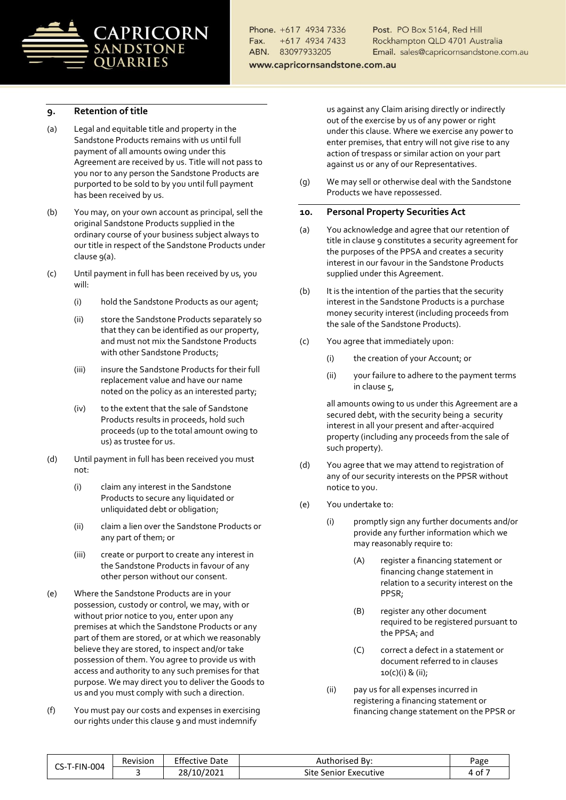

Post. PO Box 5164, Red Hill Rockhampton QLD 4701 Australia Email. sales@capricornsandstone.com.au

www.capricornsandstone.com.au

# <span id="page-3-0"></span>**9. Retention of title**

- <span id="page-3-1"></span>(a) Legal and equitable title and property in the Sandstone Products remains with us until full payment of all amounts owing under this Agreement are received by us. Title will not pass to you nor to any person the Sandstone Products are purported to be sold to by you until full payment has been received by us.
- (b) You may, on your own account as principal, sell the original Sandstone Products supplied in the ordinary course of your business subject always to our title in respect of the Sandstone Products under claus[e 9](#page-3-0)[\(a\).](#page-3-1)
- (c) Until payment in full has been received by us, you will:
	- (i) hold the Sandstone Products as our agent;
	- (ii) store the Sandstone Products separately so that they can be identified as our property, and must not mix the Sandstone Products with other Sandstone Products;
	- (iii) insure the Sandstone Products for their full replacement value and have our name noted on the policy as an interested party;
	- (iv) to the extent that the sale of Sandstone Products results in proceeds, hold such proceeds (up to the total amount owing to us) as trustee for us.
- (d) Until payment in full has been received you must not:
	- (i) claim any interest in the Sandstone Products to secure any liquidated or unliquidated debt or obligation;
	- (ii) claim a lien over the Sandstone Products or any part of them; or
	- (iii) create or purport to create any interest in the Sandstone Products in favour of any other person without our consent.
- (e) Where the Sandstone Products are in your possession, custody or control, we may, with or without prior notice to you, enter upon any premises at which the Sandstone Products or any part of them are stored, or at which we reasonably believe they are stored, to inspect and/or take possession of them. You agree to provide us with access and authority to any such premises for that purpose. We may direct you to deliver the Goods to us and you must comply with such a direction.
- (f) You must pay our costs and expenses in exercising our rights under this clause [9](#page-3-0) and must indemnify

us against any Claim arising directly or indirectly out of the exercise by us of any power or right under this clause. Where we exercise any power to enter premises, that entry will not give rise to any action of trespass or similar action on your part against us or any of our Representatives.

(g) We may sell or otherwise deal with the Sandstone Products we have repossessed.

#### <span id="page-3-2"></span>**10. Personal Property Securities Act**

- (a) You acknowledge and agree that our retention of title in clause [9](#page-3-0) constitutes a security agreement for the purposes of the PPSA and creates a security interest in our favour in the Sandstone Products supplied under this Agreement.
- (b) It is the intention of the parties that the security interest in the Sandstone Products is a purchase money security interest (including proceeds from the sale of the Sandstone Products).
- <span id="page-3-3"></span>(c) You agree that immediately upon:
	- (i) the creation of your Account; or
	- (ii) your failure to adhere to the payment terms in claus[e 5,](#page-1-2)

all amounts owing to us under this Agreement are a secured debt, with the security being a security interest in all your present and after-acquired property (including any proceeds from the sale of such property).

- (d) You agree that we may attend to registration of any of our security interests on the PPSR without notice to you.
- <span id="page-3-5"></span><span id="page-3-4"></span>(e) You undertake to:
	- (i) promptly sign any further documents and/or provide any further information which we may reasonably require to:
		- (A) register a financing statement or financing change statement in relation to a security interest on the PPSR;
		- (B) register any other document required to be registered pursuant to the PPSA; and
		- (C) correct a defect in a statement or document referred to in clauses [10](#page-3-2)[\(c\)](#page-3-3)[\(i\)](#page-3-4) [& \(ii\);](#page-3-5)
	- (ii) pay us for all expenses incurred in registering a financing statement or financing change statement on the PPSR or

| T-FIN-004<br>--<br>-ಎ∹ | Revision | - cc<br>Date<br>Effective | Bv:<br>Authorised           | Page     |
|------------------------|----------|---------------------------|-----------------------------|----------|
|                        |          | 10/2021<br>າວ<br>ا ∂∠     | Site<br>Senior<br>Executive | --<br>ot |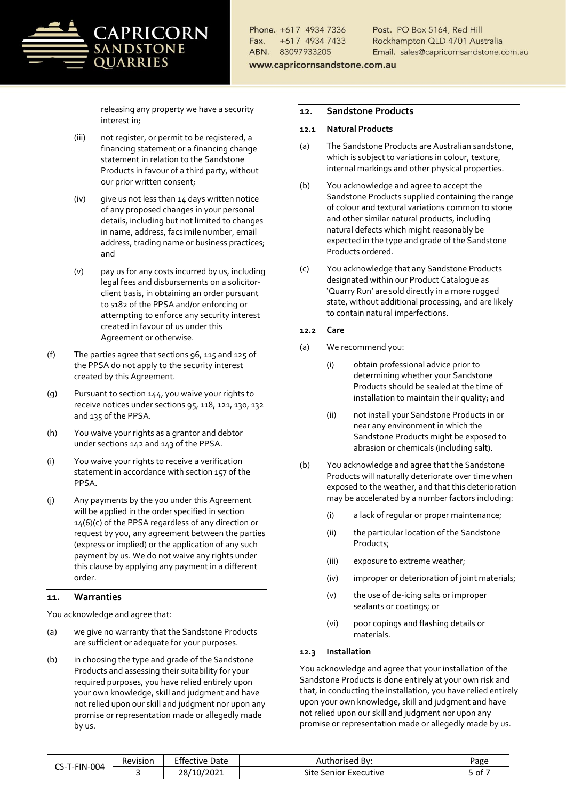# PRICORN **NDSTONE OUARRIES**

Phone. +617 4934 7336 +617 4934 7433 Fax ABN. 83097933205

Post. PO Box 5164, Red Hill Rockhampton QLD 4701 Australia Email. sales@capricornsandstone.com.au

www.capricornsandstone.com.au

releasing any property we have a security interest in;

- (iii) not register, or permit to be registered, a financing statement or a financing change statement in relation to the Sandstone Products in favour of a third party, without our prior written consent;
- (iv) give us not less than 14 days written notice of any proposed changes in your personal details, including but not limited to changes in name, address, facsimile number, email address, trading name or business practices; and
- (v) pay us for any costs incurred by us, including legal fees and disbursements on a solicitorclient basis, in obtaining an order pursuant to s182 of the PPSA and/or enforcing or attempting to enforce any security interest created in favour of us under this Agreement or otherwise.
- (f) The parties agree that sections 96, 115 and 125 of the PPSA do not apply to the security interest created by this Agreement.
- (g) Pursuant to section 144, you waive your rights to receive notices under sections 95, 118, 121, 130, 132 and 135 of the PPSA.
- (h) You waive your rights as a grantor and debtor under sections 142 and 143 of the PPSA.
- (i) You waive your rights to receive a verification statement in accordance with section 157 of the PPSA.
- (j) Any payments by the you under this Agreement will be applied in the order specified in section 14(6)(c) of the PPSA regardless of any direction or request by you, any agreement between the parties (express or implied) or the application of any such payment by us. We do not waive any rights under this clause by applying any payment in a different order.

# <span id="page-4-0"></span>**11. Warranties**

You acknowledge and agree that:

- (a) we give no warranty that the Sandstone Products are sufficient or adequate for your purposes.
- (b) in choosing the type and grade of the Sandstone Products and assessing their suitability for your required purposes, you have relied entirely upon your own knowledge, skill and judgment and have not relied upon our skill and judgment nor upon any promise or representation made or allegedly made by us.

#### **12. Sandstone Products**

#### **12.1 Natural Products**

- (a) The Sandstone Products are Australian sandstone, which is subject to variations in colour, texture, internal markings and other physical properties.
- (b) You acknowledge and agree to accept the Sandstone Products supplied containing the range of colour and textural variations common to stone and other similar natural products, including natural defects which might reasonably be expected in the type and grade of the Sandstone Products ordered.
- (c) You acknowledge that any Sandstone Products designated within our Product Catalogue as 'Quarry Run' are sold directly in a more rugged state, without additional processing, and are likely to contain natural imperfections.

### **12.2 Care**

- (a) We recommend you:
	- (i) obtain professional advice prior to determining whether your Sandstone Products should be sealed at the time of installation to maintain their quality; and
	- (ii) not install your Sandstone Products in or near any environment in which the Sandstone Products might be exposed to abrasion or chemicals (including salt).
- (b) You acknowledge and agree that the Sandstone Products will naturally deteriorate over time when exposed to the weather, and that this deterioration may be accelerated by a number factors including:
	- (i) a lack of regular or proper maintenance;
	- (ii) the particular location of the Sandstone Products;
	- (iii) exposure to extreme weather;
	- (iv) improper or deterioration of joint materials;
	- (v) the use of de-icing salts or improper sealants or coatings; or
	- (vi) poor copings and flashing details or materials.

#### **12.3 Installation**

You acknowledge and agree that your installation of the Sandstone Products is done entirely at your own risk and that, in conducting the installation, you have relied entirely upon your own knowledge, skill and judgment and have not relied upon our skill and judgment nor upon any promise or representation made or allegedly made by us.

| CS-T-FIN-004 | Revision | <b>Effective Date</b> | Authorised By:           | Page   |
|--------------|----------|-----------------------|--------------------------|--------|
|              |          | 28/10/2021            | Site Senior<br>Executive | 7 of د |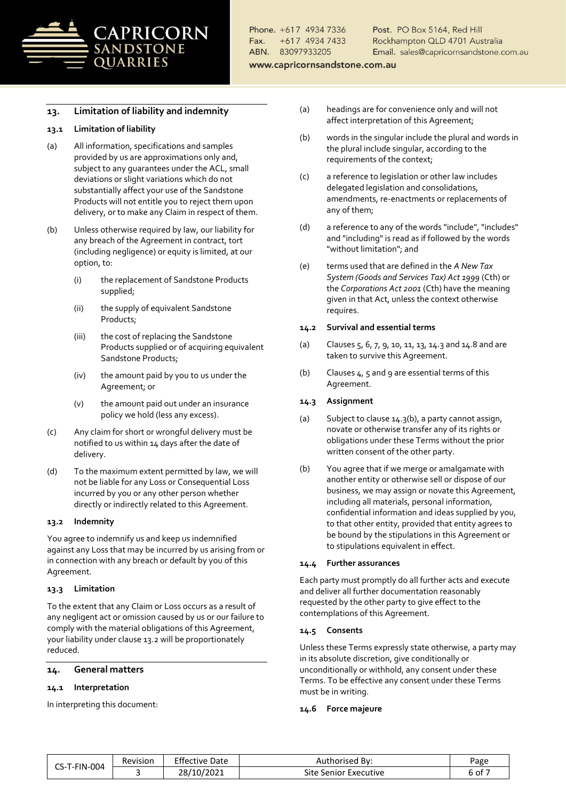

Post. PO Box 5164, Red Hill Rockhampton QLD 4701 Australia Email. sales@capricornsandstone.com.au

www.capricornsandstone.com.au

# <span id="page-5-1"></span>**13. Limitation of liability and indemnity**

#### **13.1 Limitation of liability**

- (a) All information, specifications and samples provided by us are approximations only and, subject to any guarantees under the ACL, small deviations or slight variations which do not substantially affect your use of the Sandstone Products will not entitle you to reject them upon delivery, or to make any Claim in respect of them.
- (b) Unless otherwise required by law, our liability for any breach of the Agreement in contract, tort (including negligence) or equity is limited, at our option, to:
	- (i) the replacement of Sandstone Products supplied;
	- (ii) the supply of equivalent Sandstone Products;
	- (iii) the cost of replacing the Sandstone Products supplied or of acquiring equivalent Sandstone Products;
	- (iv) the amount paid by you to us under the Agreement; or
	- (v) the amount paid out under an insurance policy we hold (less any excess).
- (c) Any claim for short or wrongful delivery must be notified to us within 14 days after the date of delivery.
- (d) To the maximum extent permitted by law, we will not be liable for any Loss or Consequential Loss incurred by you or any other person whether directly or indirectly related to this Agreement.

#### <span id="page-5-0"></span>**13.2 Indemnity**

You agree to indemnify us and keep us indemnified against any Loss that may be incurred by us arising from or in connection with any breach or default by you of this Agreement.

#### **13.3 Limitation**

To the extent that any Claim or Loss occurs as a result of any negligent act or omission caused by us or our failure to comply with the material obligations of this Agreement, your liability under clause [13.2](#page-5-0) will be proportionately reduced.

# **14. General matters**

#### **14.1 Interpretation**

In interpreting this document:

- (a) headings are for convenience only and will not affect interpretation of this Agreement;
- (b) words in the singular include the plural and words in the plural include singular, according to the requirements of the context;
- (c) a reference to legislation or other law includes delegated legislation and consolidations, amendments, re-enactments or replacements of any of them;
- (d) a reference to any of the words "include", "includes" and "including" is read as if followed by the words "without limitation"; and
- (e) terms used that are defined in the *A New Tax System (Goods and Services Tax) Act 1999* (Cth) or the *Corporations Act 2001* (Cth) have the meaning given in that Act, unless the context otherwise requires.

#### **14.2 Survival and essential terms**

- (a) Clauses [5,](#page-1-2) [6,](#page-2-9) [7,](#page-2-10) [9,](#page-3-0) [10,](#page-3-2) [11,](#page-4-0) [13,](#page-5-1) [14.3](#page-5-2) an[d 14.8](#page-6-0) and are taken to survive this Agreement.
- (b) Clauses  $4, 5$  $4, 5$  an[d 9](#page-3-0) are essential terms of this Agreement.

#### <span id="page-5-2"></span>**14.3 Assignment**

- (a) Subject to clause [14.3](#page-5-2)[\(b\),](#page-5-3) a party cannot assign, novate or otherwise transfer any of its rights or obligations under these Terms without the prior written consent of the other party.
- <span id="page-5-3"></span>(b) You agree that if we merge or amalgamate with another entity or otherwise sell or dispose of our business, we may assign or novate this Agreement, including all materials, personal information, confidential information and ideas supplied by you, to that other entity, provided that entity agrees to be bound by the stipulations in this Agreement or to stipulations equivalent in effect.

#### **14.4 Further assurances**

Each party must promptly do all further acts and execute and deliver all further documentation reasonably requested by the other party to give effect to the contemplations of this Agreement.

#### **14.5 Consents**

Unless these Terms expressly state otherwise, a party may in its absolute discretion, give conditionally or unconditionally or withhold, any consent under these Terms. To be effective any consent under these Terms must be in writing.

#### **14.6 Force majeure**

| CS-T-FIN-004 | Revision | Effective<br>Date      | Authorised By:           | Page  |
|--------------|----------|------------------------|--------------------------|-------|
|              |          | 10/2021<br>28/<br>2021 | Site Senior<br>Executive | ∍of ⊺ |